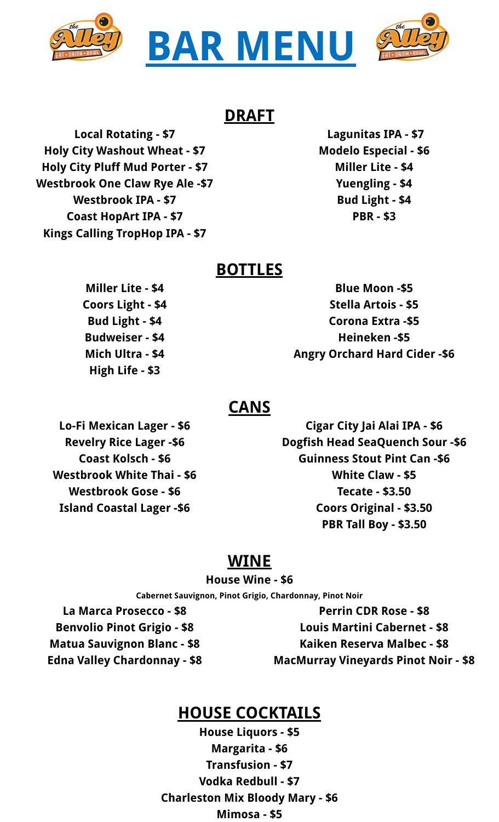



#### **DRAFT**

**Local Rotating - \$7 Holy City Washout Wheat - \$7 Holy City Pluff Mud Porter - \$7 Westbrook One Claw Rye Ale -\$7 Westbrook IPA - \$7 Coast HopArt IPA - \$7 Kings Calling TropHop IPA - \$7**

**Lagunitas IPA - \$7 Modelo Especial - \$6 Miller Lite - \$4 Yuengling - \$4 Bud Light - \$4 PBR - \$3**

#### **BOTTLES**

**Miller Lite - \$4 Coors Light - \$4 Bud Light - \$4 Budweiser - \$4 Mich Ultra - \$4 High Life - \$3**

**Blue Moon -\$5 Stella Artois - \$5 Corona Extra -\$5 Heineken -\$5 Angry Orchard Hard Cider -\$6**

#### **CANS**

**Lo-Fi Mexican Lager - \$6 Revelry Rice Lager -\$6 Coast Kolsch - \$6 Westbrook White Thai - \$6 Westbrook Gose - \$6 Island Coastal Lager -\$6**

**Cigar City Jai Alai IPA - \$6 Dogfish Head SeaQuench Sour -\$6 Guinness Stout Pint Can -\$6 White Claw - \$5 Tecate - \$3.50 Coors Original - \$3.50 PBR Tall Boy - \$3.50**

## **WINE**

**House Wine - \$6**

**Cabernet Sauvignon, Pinot Grigio, Chardonnay, Pinot Noir**

**La Marca Prosecco - \$8 Benvolio Pinot Grigio - \$8 Matua Sauvignon Blanc - \$8 Edna Valley Chardonnay - \$8**

**Perrin CDR Rose - \$8 Louis Martini Cabernet - \$8 Kaiken Reserva Malbec - \$8 MacMurray Vineyards Pinot Noir - \$8**

# **HOUSE COCKTAILS**

**House Liquors - \$5 Margarita - \$6 Transfusion - \$7 Vodka Redbull - \$7 Charleston Mix Bloody Mary - \$6 Mimosa - \$5**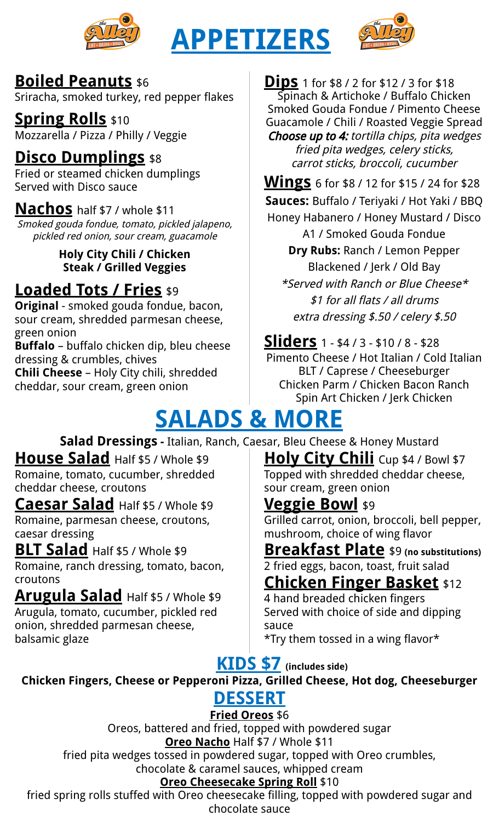

# **APPETIZERS**



### **Boiled Peanuts** \$6

Sriracha, smoked turkey, red pepper flakes

**Spring Rolls** \$10

Mozzarella / Pizza / Philly / Veggie

# **Disco Dumplings** \$8

Fried or steamed chicken dumplings Served with Disco sauce

## **Nachos** half \$7 / whole \$11

Smoked gouda fondue, tomato, pickled jalapeno, pickled red onion, sour cream, guacamole

> **Holy City Chili / Chicken Steak / Grilled Veggies**

# **Loaded Tots / Fries** \$9

**Original** - smoked gouda fondue, bacon, sour cream, shredded parmesan cheese, green onion

**Buffalo** – buffalo chicken dip, bleu cheese dressing & crumbles, chives

**Chili Cheese** – Holy City chili, shredded cheddar, sour cream, green onion

**Dips** <sup>1</sup> for \$8 / <sup>2</sup> for \$12 / <sup>3</sup> for \$18 Spinach & Artichoke / Buffalo Chicken Smoked Gouda Fondue / Pimento Cheese Guacamole / Chili / Roasted Veggie Spread Choose up to 4: tortilla chips, pita wedges fried pita wedges, celery sticks, carrot sticks, broccoli, cucumber

**Wings** <sup>6</sup> for \$8 / <sup>12</sup> for \$15 / <sup>24</sup> for \$28 **Sauces:** Buffalo / Teriyaki / Hot Yaki / BBQ

Honey Habanero / Honey Mustard / Disco A1 / Smoked Gouda Fondue **Dry Rubs:** Ranch / Lemon Pepper Blackened / Jerk / Old Bay \*Served with Ranch or Blue Cheese\* \$1 for all flats / all drums extra dressing \$.50 / celery \$.50

**Sliders** <sup>1</sup> - \$4 / <sup>3</sup> - \$10 / <sup>8</sup> - \$28 Pimento Cheese / Hot Italian / Cold Italian BLT / Caprese / Cheeseburger Chicken Parm / Chicken Bacon Ranch Spin Art Chicken / Jerk Chicken

# **SALADS & MORE**

**Salad Dressings -** Italian, Ranch, Caesar, Bleu Cheese & Honey Mustard

**House Salad** Half \$5 / Whole \$9 Romaine, tomato, cucumber, shredded cheddar cheese, croutons

**Caesar Salad** Half \$5 / Whole \$9 Romaine, parmesan cheese, croutons, caesar dressing

## **BLT Salad** Half \$5 / Whole \$9

Romaine, ranch dressing, tomato, bacon, croutons

**Arugula Salad** Half \$5 / Whole \$9 Arugula, tomato, cucumber, pickled red onion, shredded parmesan cheese, balsamic glaze

**Holy City Chili** Cup \$4 / Bowl \$7 Topped with shredded cheddar cheese, sour cream, green onion

# **Veggie Bowl** \$9

Grilled carrot, onion, broccoli, bell pepper, mushroom, choice of wing flavor

**Breakfast Plate** \$9 **(no substitutions)** 2 fried eggs, bacon, toast, fruit salad

# **Chicken Finger Basket** \$12

4 hand breaded chicken fingers Served with choice of side and dipping sauce

\*Try them tossed in a wing flavor\*

# **KIDS \$7 (includes side)**

# **Chicken Fingers, Cheese or Pepperoni Pizza, Grilled Cheese, Hot dog, Cheeseburger**

#### **DESSERT Fried Oreos** \$6

Oreos, battered and fried, topped with powdered sugar **Oreo Nacho** Half \$7 / Whole \$11

fried pita wedges tossed in powdered sugar, topped with Oreo crumbles, chocolate & caramel sauces, whipped cream

### **Oreo Cheesecake Spring Roll** \$10

fried spring rolls stuffed with Oreo cheesecake filling, topped with powdered sugar and chocolate sauce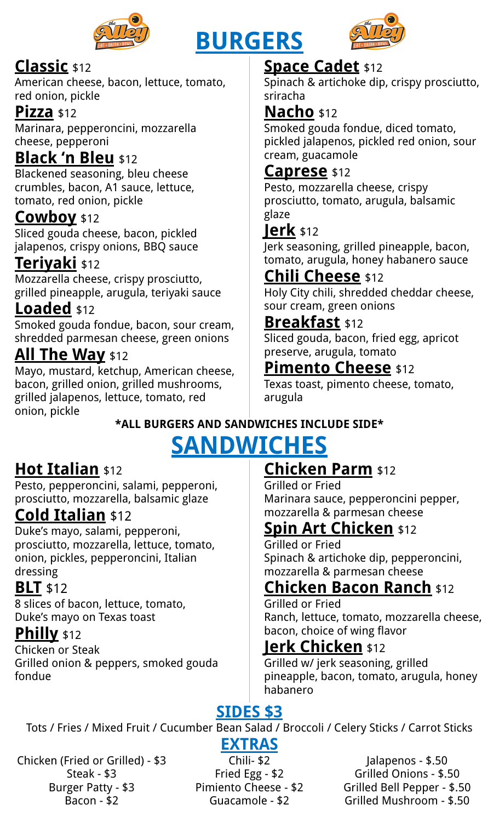

# **BURGERS**



## **Classic** \$12

American cheese, bacon, lettuce, tomato, red onion, pickle

#### **Pizza** \$12

Marinara, pepperoncini, mozzarella cheese, pepperoni

## **Black 'n Bleu** \$12

Blackened seasoning, bleu cheese crumbles, bacon, A1 sauce, lettuce, tomato, red onion, pickle

## **Cowboy** \$12

Sliced gouda cheese, bacon, pickled jalapenos, crispy onions, BBQ sauce

## **Teriyaki** \$12

Mozzarella cheese, crispy prosciutto, grilled pineapple, arugula, teriyaki sauce

## **Loaded** \$12

Smoked gouda fondue, bacon, sour cream, shredded parmesan cheese, green onions

## **All The Way** \$12

Mayo, mustard, ketchup, American cheese, bacon, grilled onion, grilled mushrooms, grilled jalapenos, lettuce, tomato, red onion, pickle

## **Space Cadet** \$12

Spinach & artichoke dip, crispy prosciutto, sriracha

## **Nacho** \$12

Smoked gouda fondue, diced tomato, pickled jalapenos, pickled red onion, sour cream, guacamole

### **Caprese** \$12

Pesto, mozzarella cheese, crispy prosciutto, tomato, arugula, balsamic glaze

## **Jerk** \$12

Jerk seasoning, grilled pineapple, bacon, tomato, arugula, honey habanero sauce

## **Chili Cheese** \$12

Holy City chili, shredded cheddar cheese, sour cream, green onions

### **Breakfast** \$12

Sliced gouda, bacon, fried egg, apricot preserve, arugula, tomato

### **Pimento Cheese** \$12

Texas toast, pimento cheese, tomato, arugula

# **\*ALL BURGERS AND SANDWICHES INCLUDE SIDE\***

# **SANDWICHES**

## **Hot Italian** \$12

Pesto, pepperoncini, salami, pepperoni, prosciutto, mozzarella, balsamic glaze

## **Cold Italian** \$12

Duke's mayo, salami, pepperoni, prosciutto, mozzarella, lettuce, tomato, onion, pickles, pepperoncini, Italian dressing

## **BLT** \$12

8 slices of bacon, lettuce, tomato, Duke's mayo on Texas toast

### **Philly** \$12

Chicken or Steak Grilled onion & peppers, smoked gouda fondue

## **Chicken Parm** \$12

Grilled or Fried Marinara sauce, pepperoncini pepper, mozzarella & parmesan cheese

## **Spin Art Chicken** \$12

Grilled or Fried Spinach & artichoke dip, pepperoncini, mozzarella & parmesan cheese

## **Chicken Bacon Ranch** \$12

Grilled or Fried Ranch, lettuce, tomato, mozzarella cheese, bacon, choice of wing flavor

## **Jerk Chicken** \$12

Grilled w/ jerk seasoning, grilled pineapple, bacon, tomato, arugula, honey habanero

# **SIDES \$3**

Tots / Fries / Mixed Fruit / Cucumber Bean Salad / Broccoli / Celery Sticks / Carrot Sticks

#### Chicken (Fried or Grilled) - \$3 Steak - \$3 Burger Patty - \$3 Bacon - \$2

**EXTRAS** Chili- \$2 Fried Egg - \$2 Pimiento Cheese - \$2 Guacamole - \$2

Jalapenos - \$.50 Grilled Onions - \$.50 Grilled Bell Pepper - \$.50 Grilled Mushroom - \$.50